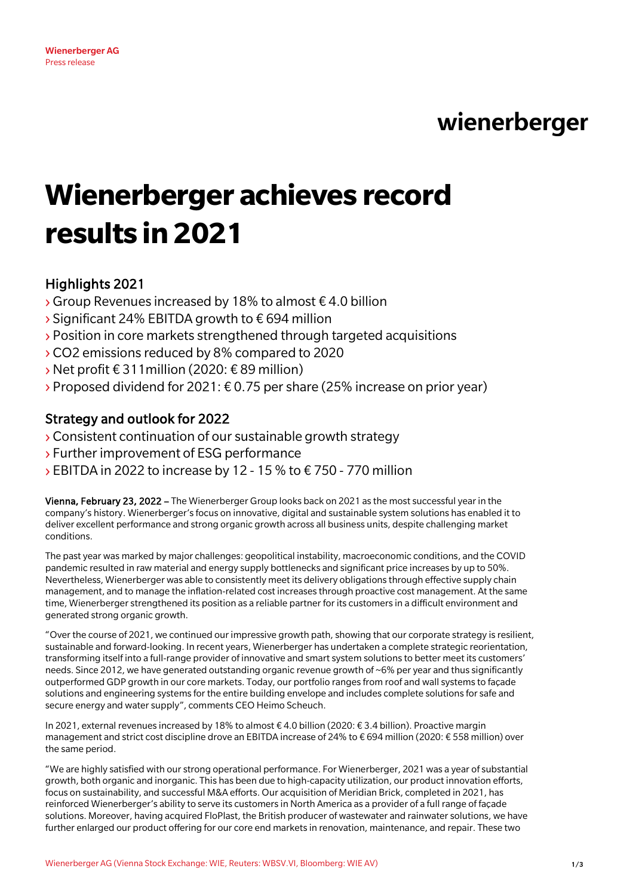wienerberger

# **Wienerberger achieves record results in 2021**

# Highlights 2021

- $\rightarrow$  Group Revenues increased by 18% to almost  $\epsilon$  4.0 billion
- › Significant 24% EBITDA growth to € 694 million
- › Position in core markets strengthened through targeted acquisitions
- ›CO2 emissions reduced by 8% compared to 2020
- ›Net profit € 311million (2020: € 89 million)
- $\rightarrow$  Proposed dividend for 2021:  $\epsilon$  0.75 per share (25% increase on prior year)

## Strategy and outlook for 2022

- ›Consistent continuation of our sustainable growth strategy
- › Further improvement of ESG performance
- $\rightarrow$  EBITDA in 2022 to increase by 12 15 % to  $\epsilon$  750 770 million

Vienna, February 23, 2022 – The Wienerberger Group looks back on 2021 as the most successful year in the company's history. Wienerberger's focus on innovative, digital and sustainable system solutions has enabled it to deliver excellent performance and strong organic growth across all business units, despite challenging market conditions.

The past year was marked by major challenges: geopolitical instability, macroeconomic conditions, and the COVID pandemic resulted in raw material and energy supply bottlenecks and significant price increases by up to 50%. Nevertheless, Wienerberger was able to consistently meet its delivery obligations through effective supply chain management, and to manage the inflation-related cost increases through proactive cost management. At the same time, Wienerberger strengthened its position as a reliable partner for its customers in a difficult environment and generated strong organic growth.

"Over the course of 2021, we continued our impressive growth path, showing that our corporate strategy is resilient, sustainable and forward-looking. In recent years, Wienerberger has undertaken a complete strategic reorientation, transforming itself into a full-range provider of innovative and smart system solutions to better meet its customers' needs. Since 2012, we have generated outstanding organic revenue growth of ~6% per year and thus significantly outperformed GDP growth in our core markets. Today, our portfolio ranges from roof and wall systems to façade solutions and engineering systems for the entire building envelope and includes complete solutions for safe and secure energy and water supply", comments CEO Heimo Scheuch.

In 2021, external revenues increased by 18% to almost € 4.0 billion (2020: € 3.4 billion). Proactive margin management and strict cost discipline drove an EBITDA increase of 24% to € 694 million (2020: € 558 million) over the same period.

"We are highly satisfied with our strong operational performance. For Wienerberger, 2021 was a year of substantial growth, both organic and inorganic. This has been due to high-capacity utilization, our product innovation efforts, focus on sustainability, and successful M&A efforts. Our acquisition of Meridian Brick, completed in 2021, has reinforced Wienerberger's ability to serve its customers in North America as a provider of a full range of façade solutions. Moreover, having acquired FloPlast, the British producer of wastewater and rainwater solutions, we have further enlarged our product offering for our core end markets in renovation, maintenance, and repair. These two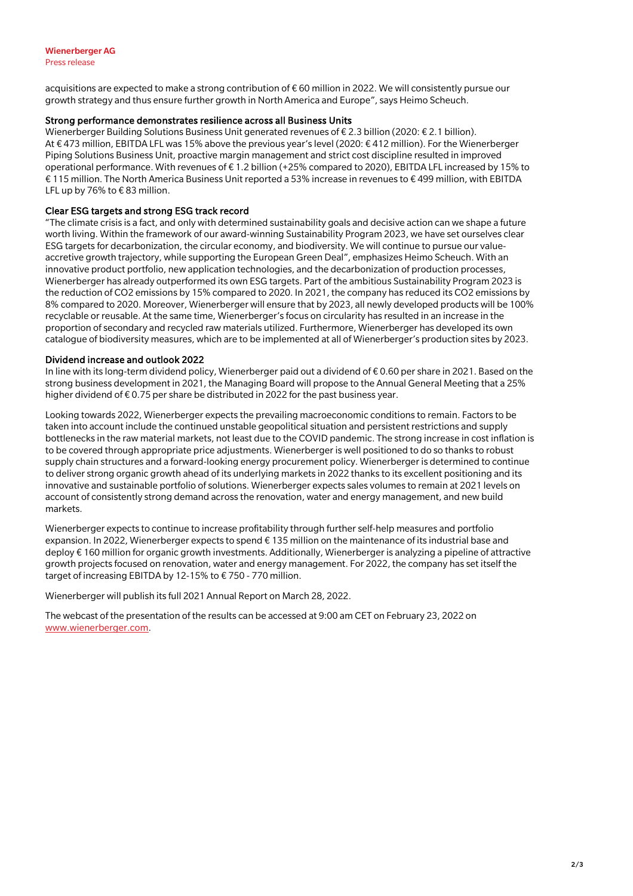acquisitions are expected to make a strong contribution of € 60 million in 2022. We will consistently pursue our growth strategy and thus ensure further growth in North America and Europe", says Heimo Scheuch.

## Strong performance demonstrates resilience across all Business Units

Wienerberger Building Solutions Business Unit generated revenues of  $\epsilon$  2.3 billion (2020:  $\epsilon$  2.1 billion). At € 473 million, EBITDA LFL was 15% above the previous year's level (2020: € 412 million). For the Wienerberger Piping Solutions Business Unit, proactive margin management and strict cost discipline resulted in improved operational performance. With revenues of € 1.2 billion (+25% compared to 2020), EBITDA LFL increased by 15% to € 115 million. The North America Business Unit reported a 53% increase in revenues to € 499 million, with EBITDA LFL up by 76% to € 83 million.

## Clear ESG targets and strong ESG track record

"The climate crisis is a fact, and only with determined sustainability goals and decisive action can we shape a future worth living. Within the framework of our award-winning Sustainability Program 2023, we have set ourselves clear ESG targets for decarbonization, the circular economy, and biodiversity. We will continue to pursue our valueaccretive growth trajectory, while supporting the European Green Deal", emphasizes Heimo Scheuch. With an innovative product portfolio, new application technologies, and the decarbonization of production processes, Wienerberger has already outperformed its own ESG targets. Part of the ambitious Sustainability Program 2023 is the reduction of CO2 emissions by 15% compared to 2020. In 2021, the company has reduced its CO2 emissions by 8% compared to 2020. Moreover, Wienerberger will ensure that by 2023, all newly developed products will be 100% recyclable or reusable. At the same time, Wienerberger's focus on circularity has resulted in an increase in the proportion of secondary and recycled raw materials utilized. Furthermore, Wienerberger has developed its own catalogue of biodiversity measures, which are to be implemented at all of Wienerberger's production sites by 2023.

#### Dividend increase and outlook 2022

In line with its long-term dividend policy, Wienerberger paid out a dividend of € 0.60 per share in 2021. Based on the strong business development in 2021, the Managing Board will propose to the Annual General Meeting that a 25% higher dividend of € 0.75 per share be distributed in 2022 for the past business year.

Looking towards 2022, Wienerberger expects the prevailing macroeconomic conditions to remain. Factors to be taken into account include the continued unstable geopolitical situation and persistent restrictions and supply bottlenecks in the raw material markets, not least due to the COVID pandemic. The strong increase in cost inflation is to be covered through appropriate price adjustments. Wienerberger is well positioned to do so thanks to robust supply chain structures and a forward-looking energy procurement policy. Wienerberger is determined to continue to deliver strong organic growth ahead of its underlying markets in 2022 thanks to its excellent positioning and its innovative and sustainable portfolio of solutions. Wienerberger expects sales volumes to remain at 2021 levels on account of consistently strong demand across the renovation, water and energy management, and new build markets.

Wienerberger expects to continue to increase profitability through further self-help measures and portfolio expansion. In 2022, Wienerberger expects to spend € 135 million on the maintenance of its industrial base and deploy € 160 million for organic growth investments. Additionally, Wienerberger is analyzing a pipeline of attractive growth projects focused on renovation, water and energy management. For 2022, the company has set itself the target of increasing EBITDA by 12-15% to € 750 - 770 million.

Wienerberger will publish its full 2021 Annual Report on March 28, 2022.

The webcast of the presentation of the results can be accessed at 9:00 am CET on February 23, 2022 on [www.wienerberger.com.](https://www.wienerberger.com/en/media.html)